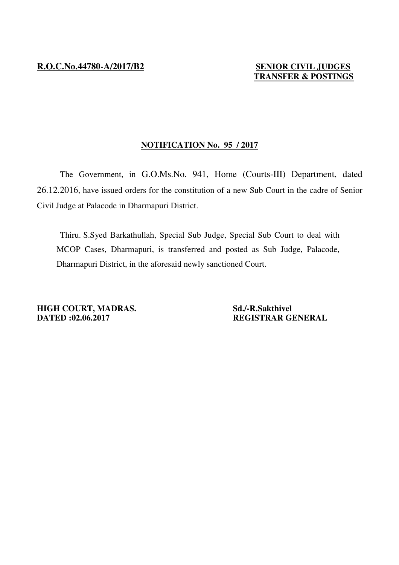## **TRANSFER & POSTINGS**

## **NOTIFICATION No. 95 / 2017**

 The Government, in G.O.Ms.No. 941, Home (Courts-III) Department, dated 26.12.2016, have issued orders for the constitution of a new Sub Court in the cadre of Senior Civil Judge at Palacode in Dharmapuri District.

 Thiru. S.Syed Barkathullah, Special Sub Judge, Special Sub Court to deal with MCOP Cases, Dharmapuri, is transferred and posted as Sub Judge, Palacode, Dharmapuri District, in the aforesaid newly sanctioned Court.

**HIGH COURT, MADRAS.** Sd./-R.Sakthivel **DATED :02.06.2017 REGISTRAR GENERAL**